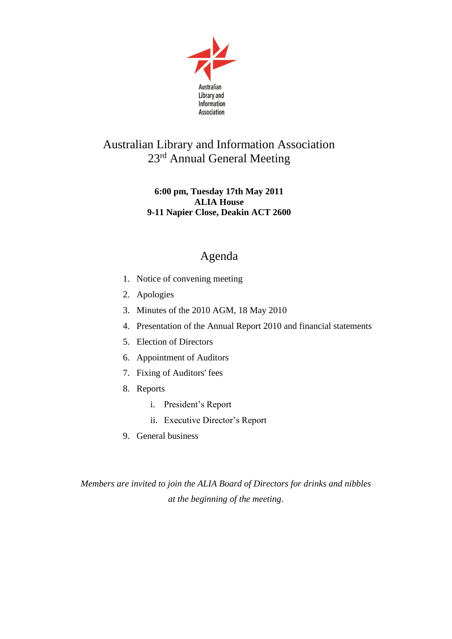

## Australian Library and Information Association 23rd Annual General Meeting

## **6:00 pm, Tuesday 17th May 2011 ALIA House 9-11 Napier Close, Deakin ACT 2600**

## Agenda

- 1. Notice of convening meeting
- 2. Apologies
- 3. Minutes of the 2010 AGM, 18 May 2010
- 4. Presentation of the Annual Report 2010 and financial statements
- 5. Election of Directors
- 6. Appointment of Auditors
- 7. Fixing of Auditors' fees
- 8. Reports
	- i. President's Report
	- ii. Executive Director's Report
- 9. General business

*Members are invited to join the ALIA Board of Directors for drinks and nibbles at the beginning of the meeting*.